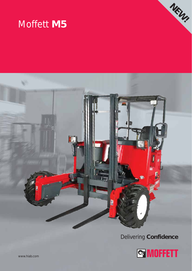# Moffett **M5**





### Delivering **Confidence**

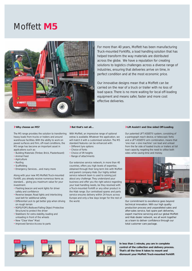## Moffett **M5**



For more than 40 years, Moffett has been manufacturing Truck-mounted Forklifts, a load handling solution that has helped transform the way materials are distributed across the globe. We have a reputation for creating solutions to logistics challenges across a diverse range of industries, ensuring that deliveries arrive on time, in perfect condition and at the most economic price.

Our innovative designs mean that a Moffett can be carried on the rear of a truck or trailer with no loss of load space. There is no more waiting for local off-loading equipment and means safer, faster and more cost effective deliveries.

#### **Why choose an M5?**

The M5 range provides the solution to transferring With Moffett, an impressive range of optional heavy loads from trucks or trailers and around warehouse facilities. With the ability to work on paved surfaces and firm, off-road conditions, the M5 range has become an important asset in applications such as:

- Building Materials (Timber, Brick, Plasterboard)
- Animal Feed
- Agriculture
- Roofing
- Scaffolding
- Emergency Services…and many more

Along with your new M5 Moffett Truck-mounted Forklift, you already receive numerous items as standard… giving you maximum value for your investment.

- Flashing beacon and work lights for driver safety and confidence
- Reverse beeper, Road lights and interlocking seat belt for additional safety
- Differential Lock to get better grip when driving on rough terrain
- ROPS/FOPS (Rollover/Falling Object Protective Structure) to protect the driver
- Stabilisers for extra stability, loading and unloading in front of the wheels
- New "Clear View" Mast
- Improved Service Access to parts

#### **But that's not all…**

extras is available. Whatever the application, we will match it with a customised solution. The M5 standard features can be enhanced with:

- Different tyre options
- Choice of forks
- Choice of lift heights
- Range of attachments

Our extensive service network, in more than 40 countries, offers you high levels of expertise, obtained through their long term link with Moffett and parent company Hiab. Our highly skilled service network team is used to solving just about any challenge. They understand your business and offer you the right advice regarding your load handling needs, be they resolved with a Truck-mounted Forklift or any other product in the Hiab range. Our centralised spares and parts service ensures delivery within 24 hours across Europe and only a few days longer for the rest of the world.

#### **Lift Assist© and One sided Off-Loading**

Our patented LIFT ASSIST© system, consisting of a pantograph reach device, or telescopic forks and a LIFT ASSIST© arm combination, means that 'one man + one machine' can load and unload from the far side of loaded trucks or trailers at full load capacity, negating the need to utilise both sides while saving time and money.



Our commitment to excellence goes beyond technical innovation. With our high quality production process and unparalleled sales and after-sales service, fast spare part deliveries, expert machine servicing and our global Moffett and Hiab dealer network, we all work together as a team to deliver confidence through our total customer care package.









**In less than 1 minute, you are in complete control of the collection and delivery process. That's all the time it takes to mount and dismount your Moffett Truck-mounted Forklift**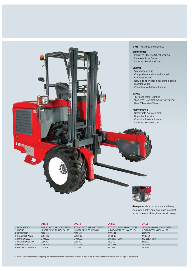



**4-way** models also carry loads sideways, ideal when delivering long loads into tight access areas or through narrow doorways.

> e e **COLLEGE** -

|                    | 20.3                          | 25.3                         | 20.4                          | 25.4                         |
|--------------------|-------------------------------|------------------------------|-------------------------------|------------------------------|
| 1 LIFT CAPACITY    | 2000 KG @ 600 MM LOAD CENTRE  | 2500 KG @ 600 MM LOAD CENTRE | 2000 KG @ 600 MM LOAD CENTRE  | 2500 KG @ 600 MM LOAD CENTRE |
| 2 ENGINE           | KUBOTA DIESEL 26.5 KW (36 HP) | KUBOTA DIESEL 33 KW (44 HP)  | KUBOTA DIESEL 26.5 KW (36 HP) | KUBOTA DIESEL 33 KW (44 HP)  |
| 3 LIFT HEIGHT      | 3000 MM                       | 3000 MM                      | 3000 MM                       | 3000 MM                      |
| 4 STANDARD TYRES   | 27X10-12                      | 27X10-12                     | 27X10-12                      | 27X10-12                     |
| 5 DRIVE WHEELS     | 3 WHEEL                       | 3 WHEEL                      | 3 WHEEL, 4-WAY                | 3 WHEEL, 4-WAY               |
| 6 UNLADEN WEIGHT*  | 2250 KG                       | 2380 KG                      | 2400 KG                       | 2490 KG                      |
| 7 OVERHANG*        | 1200 MM                       | 1200 MM                      | 1200 MM                       | 1200 MM                      |
| 8 GROUND CLEARANCE | 220 MM                        | 220 MM                       | 220 MM                        | 220 MM                       |

The above specifications can be changed by the manufacturer without prior notice. \*These values will vary depending on machine specification and type of mounting kit.